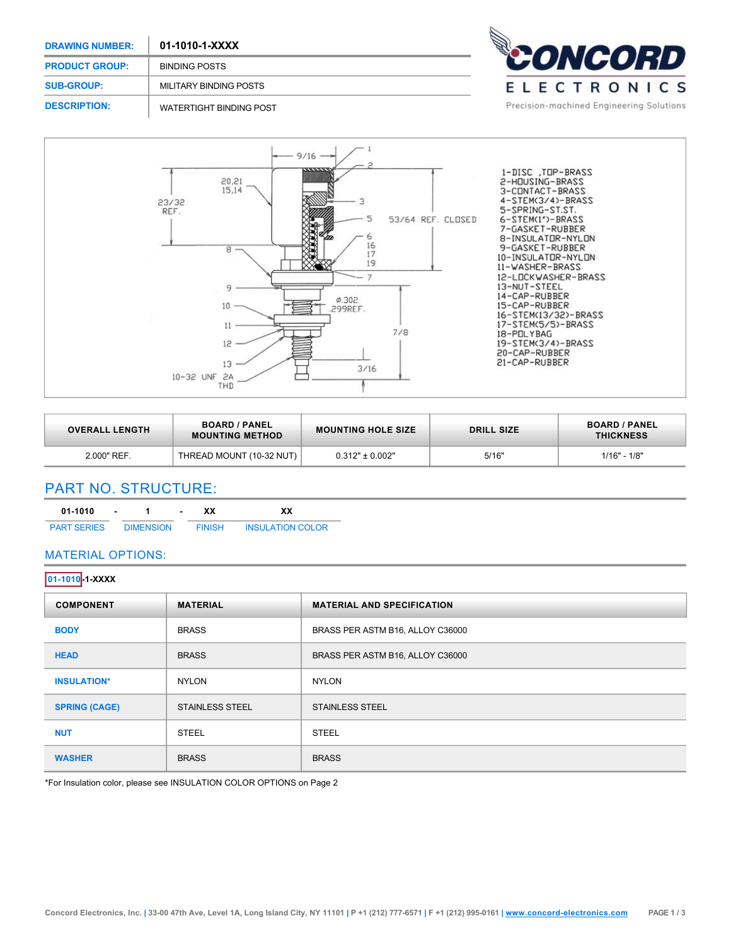| <b>DRAWING NUMBER:</b> | 01-1010-1-XXXX                 |                                          |
|------------------------|--------------------------------|------------------------------------------|
| <b>PRODUCT GROUP:</b>  | <b>BINDING POSTS</b>           | <b>DNCORD</b>                            |
| <b>SUB-GROUP:</b>      | MILITARY BINDING POSTS         | ELECTRONICS                              |
| <b>DESCRIPTION:</b>    | <b>WATERTIGHT BINDING POST</b> | Precision-machined Engineering Solutions |

 $\sim$ 



| <b>OVERALL LENGTH</b> | <b>BOARD / PANEL</b><br><b>MOUNTING METHOD</b> | <b>MOUNTING HOLE SIZE</b> | <b>DRILL SIZE</b> | <b>BOARD / PANEL</b><br><b>THICKNESS</b> |
|-----------------------|------------------------------------------------|---------------------------|-------------------|------------------------------------------|
| 2.000" REF.           | THREAD MOUNT (10-32 NUT)                       | $0.312" \pm 0.002"$       | 5/16"             | $1/16" - 1/8"$                           |

# PART NO. STRUCTURE:

| 01-1010            | ٠ |                  | xх            | xх                      |
|--------------------|---|------------------|---------------|-------------------------|
| <b>PART SERIES</b> |   | <b>DIMENSION</b> | <b>FINISH</b> | <b>INSULATION COLOR</b> |

## MATERIAL OPTIONS:

| 01-1010 1-XXXX       |                        |                                   |  |  |
|----------------------|------------------------|-----------------------------------|--|--|
| <b>COMPONENT</b>     | <b>MATERIAL</b>        | <b>MATERIAL AND SPECIFICATION</b> |  |  |
| <b>BODY</b>          | <b>BRASS</b>           | BRASS PER ASTM B16, ALLOY C36000  |  |  |
| <b>HEAD</b>          | <b>BRASS</b>           | BRASS PER ASTM B16, ALLOY C36000  |  |  |
| <b>INSULATION*</b>   | <b>NYLON</b>           | <b>NYLON</b>                      |  |  |
| <b>SPRING (CAGE)</b> | <b>STAINLESS STEEL</b> | <b>STAINLESS STEEL</b>            |  |  |
| <b>NUT</b>           | <b>STEEL</b>           | <b>STEEL</b>                      |  |  |
| <b>WASHER</b>        | <b>BRASS</b>           | <b>BRASS</b>                      |  |  |

\*For Insulation color, please see INSULATION COLOR OPTIONS on Page 2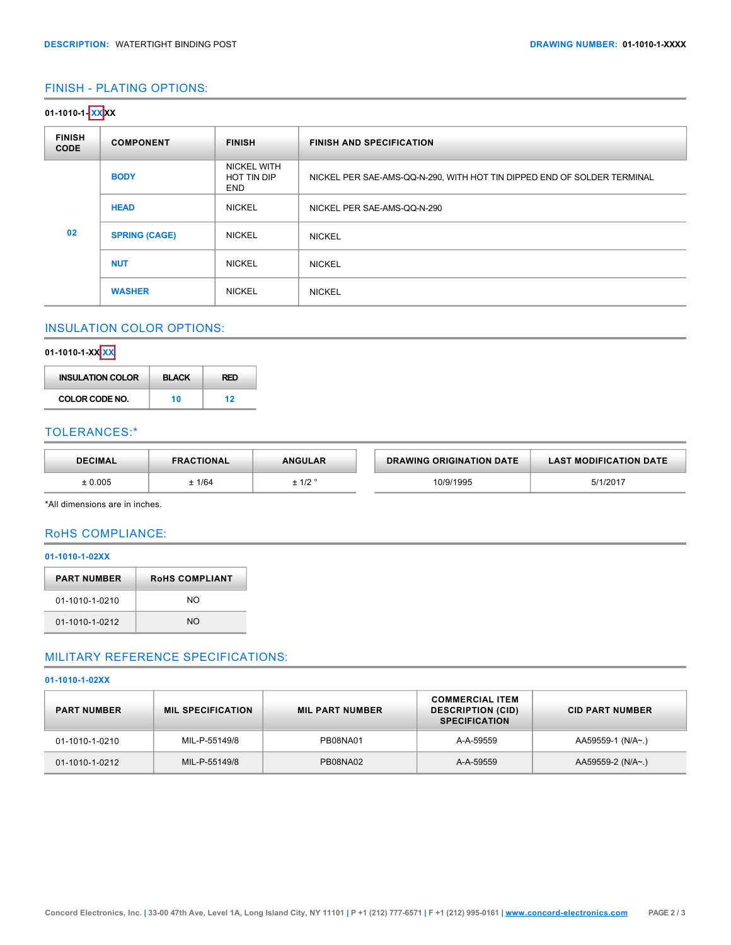## FINISH - PLATING OPTIONS:

| 01-1010-1- <mark>XX</mark> XX |                      |                                                 |                                                                         |  |  |
|-------------------------------|----------------------|-------------------------------------------------|-------------------------------------------------------------------------|--|--|
| <b>FINISH</b><br><b>CODE</b>  | <b>COMPONENT</b>     | <b>FINISH</b>                                   | <b>FINISH AND SPECIFICATION</b>                                         |  |  |
|                               | <b>BODY</b>          | <b>NICKEL WITH</b><br>HOT TIN DIP<br><b>END</b> | NICKEL PER SAE-AMS-QQ-N-290, WITH HOT TIN DIPPED END OF SOLDER TERMINAL |  |  |
|                               | <b>HEAD</b>          | <b>NICKEL</b>                                   | NICKEL PER SAE-AMS-QQ-N-290                                             |  |  |
| 02                            | <b>SPRING (CAGE)</b> | <b>NICKEL</b>                                   | <b>NICKEL</b>                                                           |  |  |
|                               | <b>NUT</b>           | <b>NICKEL</b>                                   | <b>NICKEL</b>                                                           |  |  |
|                               | <b>WASHER</b>        | <b>NICKEL</b>                                   | <b>NICKEL</b>                                                           |  |  |

# INSULATION COLOR OPTIONS:

# **0110101XX XX**

| <b>INSULATION COLOR</b> | <b>BLACK</b> | <b>RFD</b> |
|-------------------------|--------------|------------|
| COLOR CODE NO.          | 10           | 12         |

### TOLERANCES:\*

| <b>DECIMAL</b> | <b>FRACTIONAL</b> | <b>ANGULAR</b>  | <b>DRAWING ORIGINATION DATE</b> | <b>LAST MODIFICATION DATE</b> |
|----------------|-------------------|-----------------|---------------------------------|-------------------------------|
| .0.005         | : 1/64            | $-10c$<br>± 17Z | 0/9/1995                        | 5/1/2017                      |

\*All dimensions are in inches.

### RoHS COMPLIANCE:

### **011010102XX**

| <b>ROHS COMPLIANT</b> |  |  |
|-----------------------|--|--|
| NO.                   |  |  |
| NΟ                    |  |  |
|                       |  |  |

## MILITARY REFERENCE SPECIFICATIONS:

#### **011010102XX**

| <b>PART NUMBER</b> | <b>MIL SPECIFICATION</b> | <b>MIL PART NUMBER</b> | <b>COMMERCIAL ITEM</b><br><b>DESCRIPTION (CID)</b><br><b>SPECIFICATION</b> | <b>CID PART NUMBER</b> |
|--------------------|--------------------------|------------------------|----------------------------------------------------------------------------|------------------------|
| 01-1010-1-0210     | MIL-P-55149/8            | PB08NA01               | A-A-59559                                                                  | AA59559-1 (N/A~.)      |
| 01-1010-1-0212     | MIL-P-55149/8            | PB08NA02               | A-A-59559                                                                  | AA59559-2 (N/A~.)      |